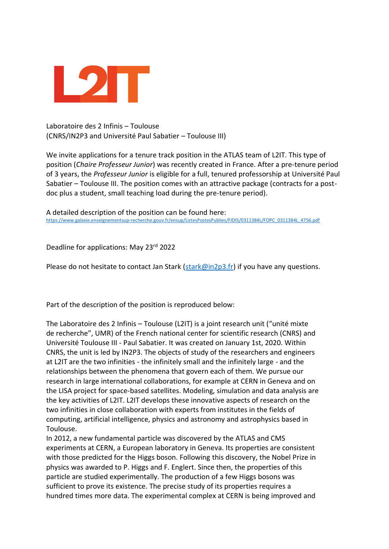

Laboratoire des 2 Infinis – Toulouse (CNRS/IN2P3 and Université Paul Sabatier – Toulouse III)

We invite applications for a tenure track position in the ATLAS team of L2IT. This type of position (*Chaire Professeur Junior*) was recently created in France. After a pre-tenure period of 3 years, the *Professeur Junior* is eligible for a full, tenured professorship at Université Paul Sabatier – Toulouse III. The position comes with an attractive package (contracts for a postdoc plus a student, small teaching load during the pre-tenure period).

A detailed description of the position can be found here: [https://www.galaxie.enseignementsup-recherche.gouv.fr/ensup/ListesPostesPublies/FIDIS/0311384L/FOPC\\_0311384L\\_4756.pdf](https://www.galaxie.enseignementsup-recherche.gouv.fr/ensup/ListesPostesPublies/FIDIS/0311384L/FOPC_0311384L_4756.pdf)

Deadline for applications: May 23rd 2022

Please do not hesitate to contact Jan Stark [\(stark@in2p3.fr\)](mailto:stark@in2p3.fr) if you have any questions.

Part of the description of the position is reproduced below:

The Laboratoire des 2 Infinis – Toulouse (L2IT) is a joint research unit ("unité mixte de recherche", UMR) of the French national center for scientific research (CNRS) and Université Toulouse III - Paul Sabatier. It was created on January 1st, 2020. Within CNRS, the unit is led by IN2P3. The objects of study of the researchers and engineers at L2IT are the two infinities - the infinitely small and the infinitely large - and the relationships between the phenomena that govern each of them. We pursue our research in large international collaborations, for example at CERN in Geneva and on the LISA project for space-based satellites. Modeling, simulation and data analysis are the key activities of L2IT. L2IT develops these innovative aspects of research on the two infinities in close collaboration with experts from institutes in the fields of computing, artificial intelligence, physics and astronomy and astrophysics based in Toulouse.

In 2012, a new fundamental particle was discovered by the ATLAS and CMS experiments at CERN, a European laboratory in Geneva. Its properties are consistent with those predicted for the Higgs boson. Following this discovery, the Nobel Prize in physics was awarded to P. Higgs and F. Englert. Since then, the properties of this particle are studied experimentally. The production of a few Higgs bosons was sufficient to prove its existence. The precise study of its properties requires a hundred times more data. The experimental complex at CERN is being improved and